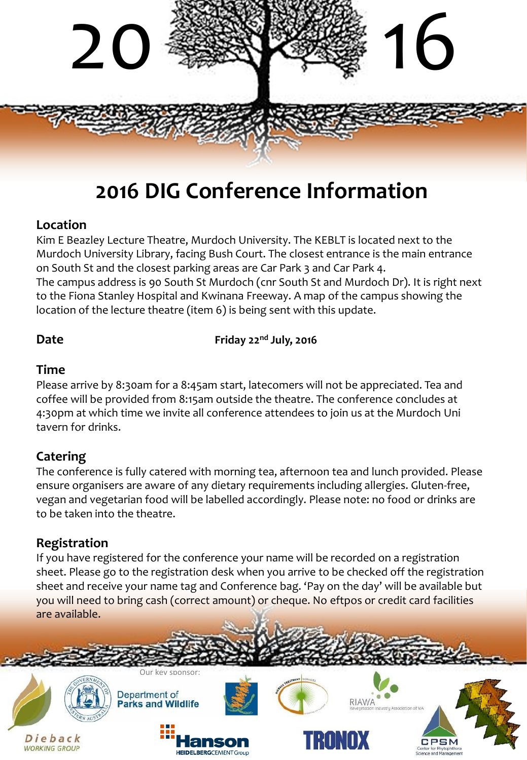

# **2016 DIG Conference Information**

# **Location**

Kim E Beazley Lecture Theatre, Murdoch University. The KEBLT is located next to the Murdoch University Library, facing Bush Court. The closest entrance is the main entrance on South St and the closest parking areas are Car Park 3 and Car Park 4. The campus address is 90 South St Murdoch (cnr South St and Murdoch Dr). It is right next to the Fiona Stanley Hospital and Kwinana Freeway. A map of the campus showing the location of the lecture theatre (item 6) is being sent with this update.

**Date Friday 22nd July, 2016**

# **Time**

Please arrive by 8:30am for a 8:45am start, latecomers will not be appreciated. Tea and coffee will be provided from 8:15am outside the theatre. The conference c0ncludes at 4:30pm at which time we invite all conference attendees to join us at the Murdoch Uni tavern for drinks.

# **Catering**

The conference is fully catered with morning tea, afternoon tea and lunch provided. Please ensure organisers are aware of any dietary requirements including allergies. Gluten-free, vegan and vegetarian food will be labelled accordingly. Please note: no food or drinks are to be taken into the theatre.

# **Registration**

If you have registered for the conference your name will be recorded on a registration sheet. Please go to the registration desk when you arrive to be checked off the registration sheet and receive your name tag and Conference bag. 'Pay on the day' will be available but you will need to bring cash (correct amount) or cheque. No eftpos or credit card facilities are available.